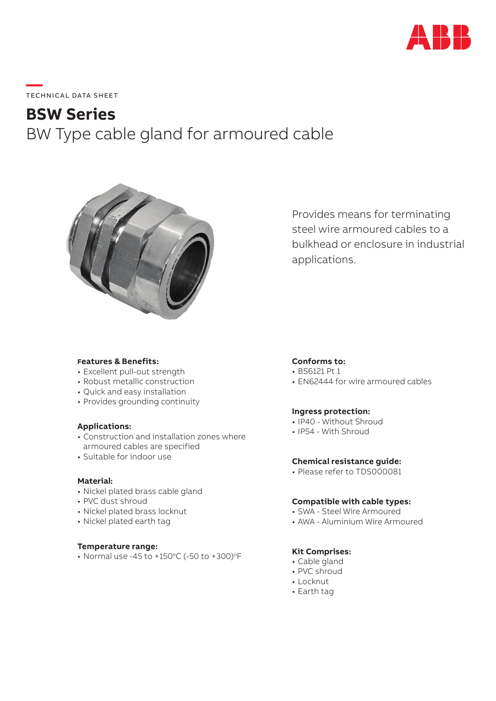

# **—**  TECHNICAL DATA SHEET

# **BSW Series** BW Type cable gland for armoured cable



Provides means for terminating steel wire armoured cables to a bulkhead or enclosure in industrial applications.

# **Features & Benefits:**

- Excellent pull-out strength
- Robust metallic construction
- Quick and easy installation
- Provides grounding continuity

# **Applications:**

- Construction and installation zones where armoured cables are specified
- Suitable for indoor use

#### **Material:**

- Nickel plated brass cable gland
- PVC dust shroud
- Nickel plated brass locknut
- Nickel plated earth tag

## **Temperature range:**

• Normal use -45 to +150 $\degree$ C (-50 to +300) $\degree$ F

# **Conforms to:**

- BS6121 Pt 1
- EN62444 for wire armoured cables

# **Ingress protection:**

- IP40 Without Shroud
- IP54 With Shroud

# **Chemical resistance guide:**

• Please refer to TDS000081

#### **Compatible with cable types:**

- SWA Steel Wire Armoured
- AWA Aluminium Wire Armoured

# **Kit Comprises:**

- Cable gland
- PVC shroud
- Locknut
- Earth tag